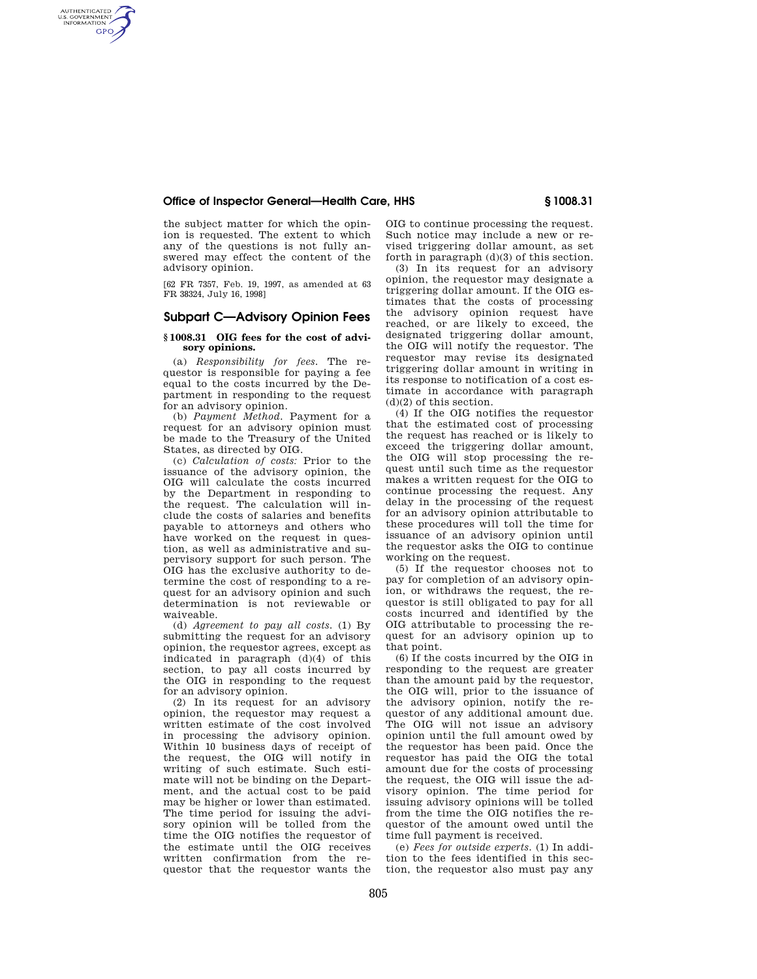### **Office of Inspector General—Health Care, HHS § 1008.31**

the subject matter for which the opinion is requested. The extent to which any of the questions is not fully answered may effect the content of the advisory opinion.

AUTHENTICATED<br>U.S. GOVERNMENT<br>INFORMATION **GPO** 

> [62 FR 7357, Feb. 19, 1997, as amended at 63 FR 38324, July 16, 1998]

# **Subpart C—Advisory Opinion Fees**

#### **§ 1008.31 OIG fees for the cost of advisory opinions.**

(a) *Responsibility for fees.* The requestor is responsible for paying a fee equal to the costs incurred by the Department in responding to the request for an advisory opinion.

(b) *Payment Method.* Payment for a request for an advisory opinion must be made to the Treasury of the United States, as directed by OIG.

(c) *Calculation of costs:* Prior to the issuance of the advisory opinion, the OIG will calculate the costs incurred by the Department in responding to the request. The calculation will include the costs of salaries and benefits payable to attorneys and others who have worked on the request in question, as well as administrative and supervisory support for such person. The OIG has the exclusive authority to determine the cost of responding to a request for an advisory opinion and such determination is not reviewable or waiveable.

(d) *Agreement to pay all costs.* (1) By submitting the request for an advisory opinion, the requestor agrees, except as indicated in paragraph (d)(4) of this section, to pay all costs incurred by the OIG in responding to the request for an advisory opinion.

(2) In its request for an advisory opinion, the requestor may request a written estimate of the cost involved in processing the advisory opinion. Within 10 business days of receipt of the request, the OIG will notify in writing of such estimate. Such estimate will not be binding on the Department, and the actual cost to be paid may be higher or lower than estimated. The time period for issuing the advisory opinion will be tolled from the time the OIG notifies the requestor of the estimate until the OIG receives written confirmation from the requestor that the requestor wants the

OIG to continue processing the request. Such notice may include a new or revised triggering dollar amount, as set forth in paragraph (d)(3) of this section.

(3) In its request for an advisory opinion, the requestor may designate a triggering dollar amount. If the OIG estimates that the costs of processing the advisory opinion request have reached, or are likely to exceed, the designated triggering dollar amount, the OIG will notify the requestor. The requestor may revise its designated triggering dollar amount in writing in its response to notification of a cost estimate in accordance with paragraph (d)(2) of this section.

(4) If the OIG notifies the requestor that the estimated cost of processing the request has reached or is likely to exceed the triggering dollar amount, the OIG will stop processing the request until such time as the requestor makes a written request for the OIG to continue processing the request. Any delay in the processing of the request for an advisory opinion attributable to these procedures will toll the time for issuance of an advisory opinion until the requestor asks the OIG to continue working on the request.

(5) If the requestor chooses not to pay for completion of an advisory opinion, or withdraws the request, the requestor is still obligated to pay for all costs incurred and identified by the OIG attributable to processing the request for an advisory opinion up to that point.

(6) If the costs incurred by the OIG in responding to the request are greater than the amount paid by the requestor, the OIG will, prior to the issuance of the advisory opinion, notify the requestor of any additional amount due. The OIG will not issue an advisory opinion until the full amount owed by the requestor has been paid. Once the requestor has paid the OIG the total amount due for the costs of processing the request, the OIG will issue the advisory opinion. The time period for issuing advisory opinions will be tolled from the time the OIG notifies the requestor of the amount owed until the time full payment is received.

(e) *Fees for outside experts.* (1) In addition to the fees identified in this section, the requestor also must pay any